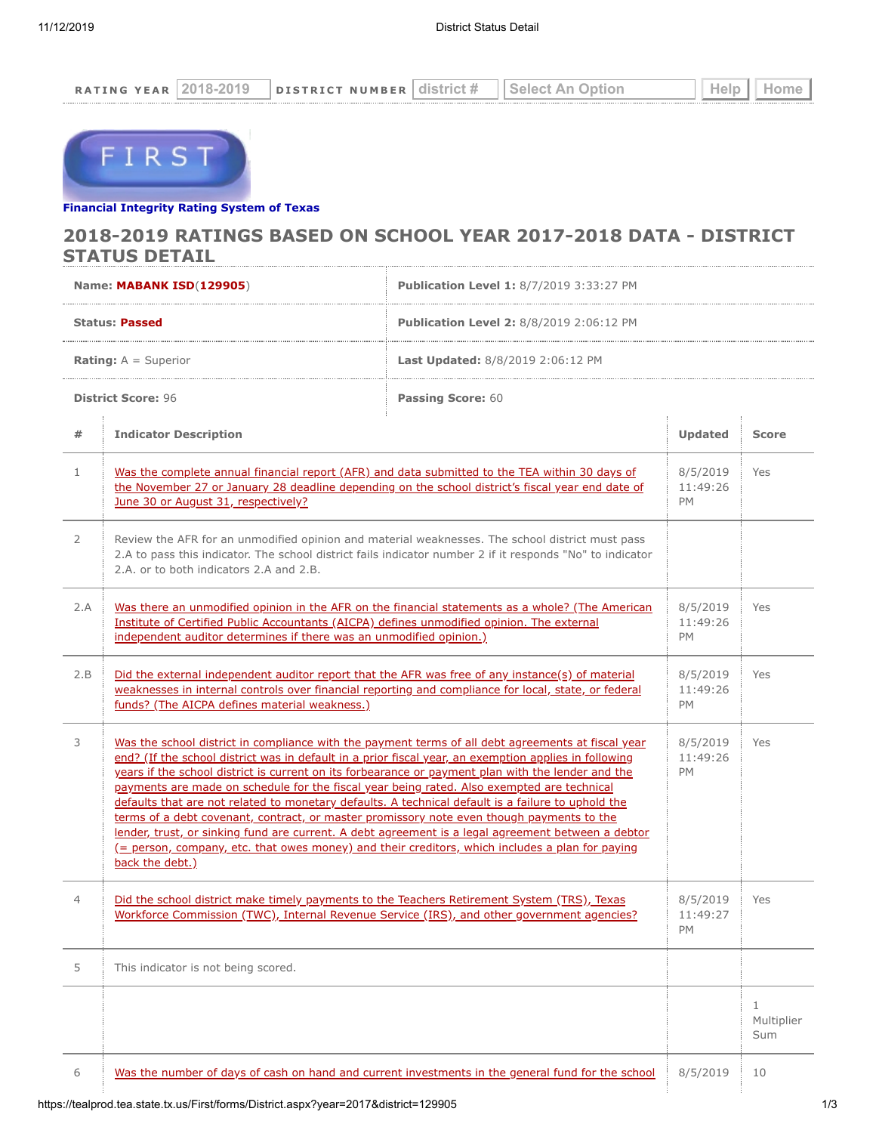| NH E                                          | 'N.   |                      |   |
|-----------------------------------------------|-------|----------------------|---|
| -----------------------------------<br>.<br>. | <br>. | .<br>.<br>.<br>----- | . |



# **[Financial Integrity Rating Syste](https://tealprod.tea.state.tx.us/First/forms/Main.aspx)m of Texas**

### **2018-2019 RATINGS BASED ON SCHOOL YEAR 2017-2018 DATA - DISTRICT STATUS DETAIL**

| Name: MABANK ISD(129905)                              |                                                                                                                                                                                                                                                                                                                                                                                                                                                                                                                                                                                                                                                                                                                                                                                                                                                | <b>Publication Level 1: 8/7/2019 3:33:27 PM</b> |                                   |                        |  |
|-------------------------------------------------------|------------------------------------------------------------------------------------------------------------------------------------------------------------------------------------------------------------------------------------------------------------------------------------------------------------------------------------------------------------------------------------------------------------------------------------------------------------------------------------------------------------------------------------------------------------------------------------------------------------------------------------------------------------------------------------------------------------------------------------------------------------------------------------------------------------------------------------------------|-------------------------------------------------|-----------------------------------|------------------------|--|
| <b>Status: Passed</b>                                 |                                                                                                                                                                                                                                                                                                                                                                                                                                                                                                                                                                                                                                                                                                                                                                                                                                                | <b>Publication Level 2: 8/8/2019 2:06:12 PM</b> |                                   |                        |  |
| <b>Rating:</b> $A =$ Superior                         |                                                                                                                                                                                                                                                                                                                                                                                                                                                                                                                                                                                                                                                                                                                                                                                                                                                | <b>Last Updated: 8/8/2019 2:06:12 PM</b>        |                                   |                        |  |
| <b>District Score: 96</b><br><b>Passing Score: 60</b> |                                                                                                                                                                                                                                                                                                                                                                                                                                                                                                                                                                                                                                                                                                                                                                                                                                                |                                                 |                                   |                        |  |
| #                                                     | <b>Indicator Description</b>                                                                                                                                                                                                                                                                                                                                                                                                                                                                                                                                                                                                                                                                                                                                                                                                                   |                                                 | <b>Updated</b>                    | <b>Score</b>           |  |
| 1                                                     | Was the complete annual financial report (AFR) and data submitted to the TEA within 30 days of<br>the November 27 or January 28 deadline depending on the school district's fiscal year end date of<br>June 30 or August 31, respectively?                                                                                                                                                                                                                                                                                                                                                                                                                                                                                                                                                                                                     |                                                 | 8/5/2019<br>11:49:26<br>PM        | Yes                    |  |
| 2                                                     | Review the AFR for an unmodified opinion and material weaknesses. The school district must pass<br>2.A to pass this indicator. The school district fails indicator number 2 if it responds "No" to indicator<br>2.A. or to both indicators 2.A and 2.B.                                                                                                                                                                                                                                                                                                                                                                                                                                                                                                                                                                                        |                                                 |                                   |                        |  |
| 2.A                                                   | Was there an unmodified opinion in the AFR on the financial statements as a whole? (The American<br>Institute of Certified Public Accountants (AICPA) defines unmodified opinion. The external<br>independent auditor determines if there was an unmodified opinion.)                                                                                                                                                                                                                                                                                                                                                                                                                                                                                                                                                                          |                                                 | 8/5/2019<br>11:49:26<br>PM        | Yes                    |  |
| 2.B                                                   | Did the external independent auditor report that the AFR was free of any instance(s) of material<br>weaknesses in internal controls over financial reporting and compliance for local, state, or federal<br>funds? (The AICPA defines material weakness.)                                                                                                                                                                                                                                                                                                                                                                                                                                                                                                                                                                                      |                                                 | 8/5/2019<br>11:49:26<br><b>PM</b> | Yes                    |  |
| 3                                                     | Was the school district in compliance with the payment terms of all debt agreements at fiscal year<br>end? (If the school district was in default in a prior fiscal year, an exemption applies in following<br>years if the school district is current on its forbearance or payment plan with the lender and the<br>payments are made on schedule for the fiscal year being rated. Also exempted are technical<br>defaults that are not related to monetary defaults. A technical default is a failure to uphold the<br>terms of a debt covenant, contract, or master promissory note even though payments to the<br>lender, trust, or sinking fund are current. A debt agreement is a legal agreement between a debtor<br>(= person, company, etc. that owes money) and their creditors, which includes a plan for paying<br>back the debt.) |                                                 | 8/5/2019<br>11:49:26<br>PM        | Yes                    |  |
| 4                                                     | Did the school district make timely payments to the Teachers Retirement System (TRS), Texas<br><u>Workforce Commission (TWC), Internal Revenue Service (IRS), and other government agencies?</u>                                                                                                                                                                                                                                                                                                                                                                                                                                                                                                                                                                                                                                               |                                                 | 8/5/2019<br>11:49:27<br>PM        | Yes                    |  |
| 5                                                     | This indicator is not being scored.                                                                                                                                                                                                                                                                                                                                                                                                                                                                                                                                                                                                                                                                                                                                                                                                            |                                                 |                                   |                        |  |
|                                                       |                                                                                                                                                                                                                                                                                                                                                                                                                                                                                                                                                                                                                                                                                                                                                                                                                                                |                                                 |                                   | 1<br>Multiplier<br>Sum |  |
| 6                                                     | Was the number of days of cash on hand and current investments in the general fund for the school                                                                                                                                                                                                                                                                                                                                                                                                                                                                                                                                                                                                                                                                                                                                              |                                                 | 8/5/2019                          | 10                     |  |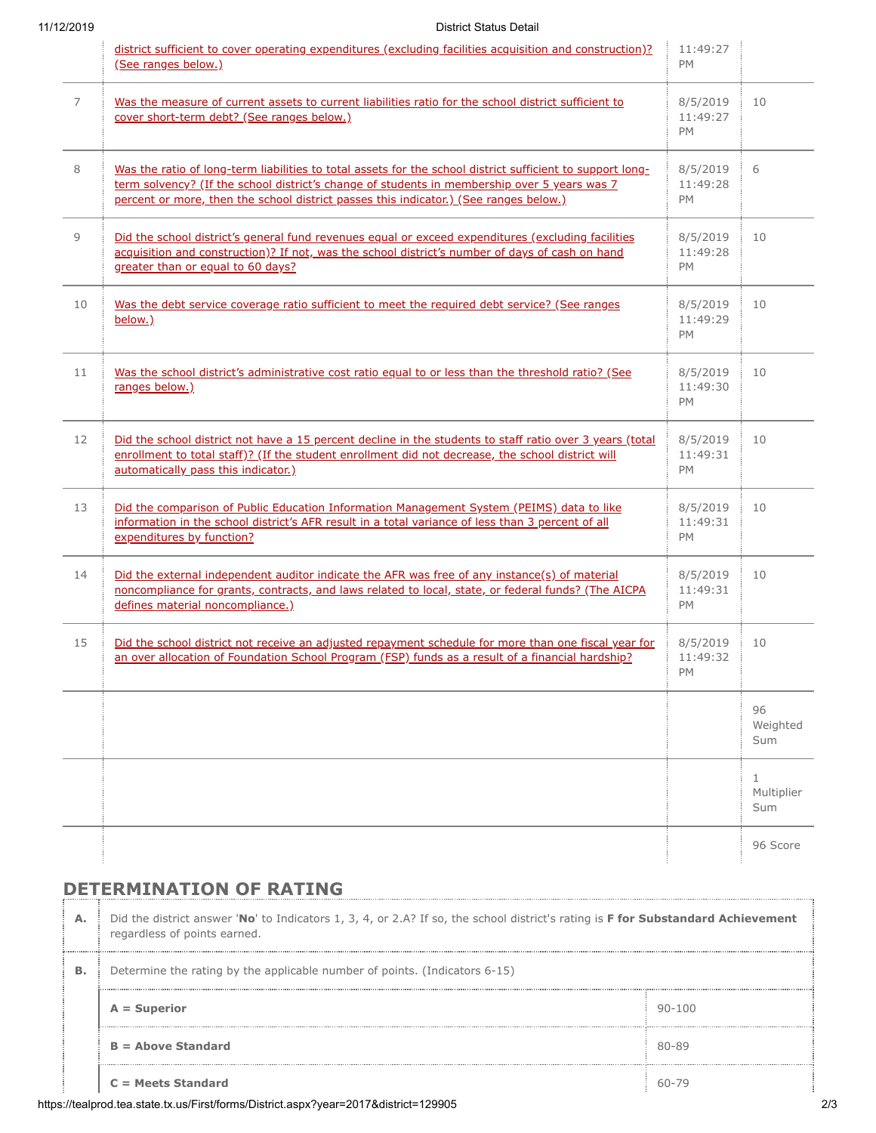## 11/12/2019 District Status Detail

|                | district sufficient to cover operating expenditures (excluding facilities acquisition and construction)?<br>(See ranges below.)                                                                                                                                                                     | 11:49:27<br><b>PM</b>             |                                   |
|----------------|-----------------------------------------------------------------------------------------------------------------------------------------------------------------------------------------------------------------------------------------------------------------------------------------------------|-----------------------------------|-----------------------------------|
| $\overline{7}$ | Was the measure of current assets to current liabilities ratio for the school district sufficient to<br>cover short-term debt? (See ranges below.)                                                                                                                                                  | 8/5/2019<br>11:49:27<br><b>PM</b> | 10                                |
| 8              | Was the ratio of long-term liabilities to total assets for the school district sufficient to support long-<br>term solvency? (If the school district's change of students in membership over 5 years was 7<br>percent or more, then the school district passes this indicator.) (See ranges below.) | 8/5/2019<br>11:49:28<br>PM        | 6                                 |
| 9              | Did the school district's general fund revenues equal or exceed expenditures (excluding facilities<br>acquisition and construction)? If not, was the school district's number of days of cash on hand<br>greater than or equal to 60 days?                                                          | 8/5/2019<br>11:49:28<br><b>PM</b> | 10                                |
| 10             | Was the debt service coverage ratio sufficient to meet the required debt service? (See ranges<br>below.)                                                                                                                                                                                            | 8/5/2019<br>11:49:29<br>PM        | 10                                |
| 11             | Was the school district's administrative cost ratio equal to or less than the threshold ratio? (See<br>ranges below.)                                                                                                                                                                               | 8/5/2019<br>11:49:30<br>PM        | 10                                |
| 12             | Did the school district not have a 15 percent decline in the students to staff ratio over 3 years (total<br>enrollment to total staff)? (If the student enrollment did not decrease, the school district will<br>automatically pass this indicator.)                                                | 8/5/2019<br>11:49:31<br>PM        | 10                                |
| 13             | Did the comparison of Public Education Information Management System (PEIMS) data to like<br>information in the school district's AFR result in a total variance of less than 3 percent of all<br>expenditures by function?                                                                         | 8/5/2019<br>11:49:31<br><b>PM</b> | 10                                |
| 14             | Did the external independent auditor indicate the AFR was free of any instance(s) of material<br>noncompliance for grants, contracts, and laws related to local, state, or federal funds? (The AICPA<br>defines material noncompliance.)                                                            | 8/5/2019<br>11:49:31<br>PM        | 10                                |
| 15             | Did the school district not receive an adjusted repayment schedule for more than one fiscal year for<br>an over allocation of Foundation School Program (FSP) funds as a result of a financial hardship?                                                                                            | 8/5/2019<br>11:49:32<br>PM        | 10                                |
|                |                                                                                                                                                                                                                                                                                                     |                                   | 96<br>Weighted<br>Sum             |
|                |                                                                                                                                                                                                                                                                                                     |                                   | $\mathbf{1}$<br>Multiplier<br>Sum |
|                |                                                                                                                                                                                                                                                                                                     |                                   | 96 Score                          |

# **DETERMINATION OF RATING**

| А. | Did the district answer 'No' to Indicators 1, 3, 4, or 2.A? If so, the school district's rating is F for Substandard Achievement<br>regardless of points earned. |            |  |  |
|----|------------------------------------------------------------------------------------------------------------------------------------------------------------------|------------|--|--|
| в. | Determine the rating by the applicable number of points. (Indicators 6-15)                                                                                       |            |  |  |
|    | $A = Superior$                                                                                                                                                   | $90 - 100$ |  |  |
|    | $B =$ Above Standard                                                                                                                                             | 80-89      |  |  |
|    | $C = Meets$ Standard                                                                                                                                             | 60-79      |  |  |

https://tealprod.tea.state.tx.us/First/forms/District.aspx?year=2017&district=129905 2/3

÷÷,